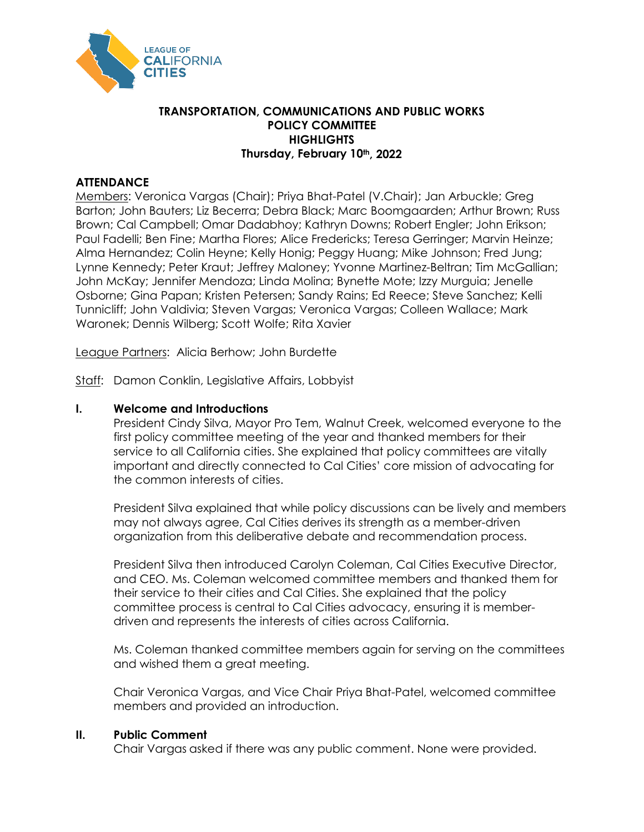

## **TRANSPORTATION, COMMUNICATIONS AND PUBLIC WORKS POLICY COMMITTEE HIGHLIGHTS Thursday, February 10th, 2022**

# **ATTENDANCE**

Members: Veronica Vargas (Chair); Priya Bhat-Patel (V.Chair); Jan Arbuckle; Greg Barton; John Bauters; Liz Becerra; Debra Black; Marc Boomgaarden; Arthur Brown; Russ Brown; Cal Campbell; Omar Dadabhoy; Kathryn Downs; Robert Engler; John Erikson; Paul Fadelli; Ben Fine; Martha Flores; Alice Fredericks; Teresa Gerringer; Marvin Heinze; Alma Hernandez; Colin Heyne; Kelly Honig; Peggy Huang; Mike Johnson; Fred Jung; Lynne Kennedy; Peter Kraut; Jeffrey Maloney; Yvonne Martinez-Beltran; Tim McGallian; John McKay; Jennifer Mendoza; Linda Molina; Bynette Mote; Izzy Murguia; Jenelle Osborne; Gina Papan; Kristen Petersen; Sandy Rains; Ed Reece; Steve Sanchez; Kelli Tunnicliff; John Valdivia; Steven Vargas; Veronica Vargas; Colleen Wallace; Mark Waronek; Dennis Wilberg; Scott Wolfe; Rita Xavier

League Partners: Alicia Berhow; John Burdette

Staff: Damon Conklin, Legislative Affairs, Lobbyist

### **I. Welcome and Introductions**

President Cindy Silva, Mayor Pro Tem, Walnut Creek, welcomed everyone to the first policy committee meeting of the year and thanked members for their service to all California cities. She explained that policy committees are vitally important and directly connected to Cal Cities' core mission of advocating for the common interests of cities.

President Silva explained that while policy discussions can be lively and members may not always agree, Cal Cities derives its strength as a member-driven organization from this deliberative debate and recommendation process.

President Silva then introduced Carolyn Coleman, Cal Cities Executive Director, and CEO. Ms. Coleman welcomed committee members and thanked them for their service to their cities and Cal Cities. She explained that the policy committee process is central to Cal Cities advocacy, ensuring it is memberdriven and represents the interests of cities across California.

Ms. Coleman thanked committee members again for serving on the committees and wished them a great meeting.

Chair Veronica Vargas, and Vice Chair Priya Bhat-Patel, welcomed committee members and provided an introduction.

#### **II. Public Comment**

Chair Vargas asked if there was any public comment. None were provided.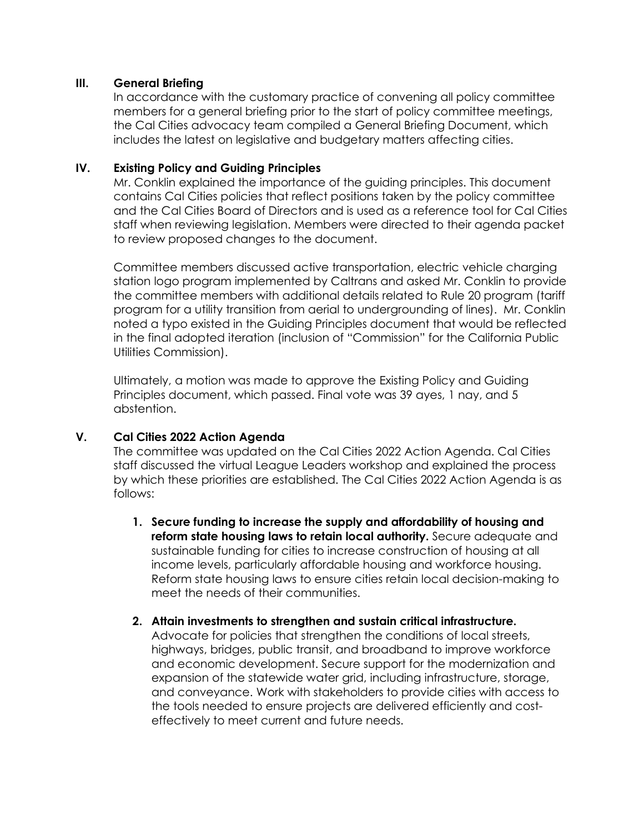## **III. General Briefing**

In accordance with the customary practice of convening all policy committee members for a general briefing prior to the start of policy committee meetings, the Cal Cities advocacy team compiled a General Briefing Document, which includes the latest on legislative and budgetary matters affecting cities.

# **IV. Existing Policy and Guiding Principles**

Mr. Conklin explained the importance of the guiding principles. This document contains Cal Cities policies that reflect positions taken by the policy committee and the Cal Cities Board of Directors and is used as a reference tool for Cal Cities staff when reviewing legislation. Members were directed to their agenda packet to review proposed changes to the document.

Committee members discussed active transportation, electric vehicle charging station logo program implemented by Caltrans and asked Mr. Conklin to provide the committee members with additional details related to Rule 20 program (tariff program for a utility transition from aerial to undergrounding of lines). Mr. Conklin noted a typo existed in the Guiding Principles document that would be reflected in the final adopted iteration (inclusion of "Commission" for the California Public Utilities Commission).

Ultimately, a motion was made to approve the Existing Policy and Guiding Principles document, which passed. Final vote was 39 ayes, 1 nay, and 5 abstention.

# **V. Cal Cities 2022 Action Agenda**

The committee was updated on the Cal Cities 2022 Action Agenda. Cal Cities staff discussed the virtual League Leaders workshop and explained the process by which these priorities are established. The Cal Cities 2022 Action Agenda is as follows:

- **1. Secure funding to increase the supply and affordability of housing and reform state housing laws to retain local authority.** Secure adequate and sustainable funding for cities to increase construction of housing at all income levels, particularly affordable housing and workforce housing. Reform state housing laws to ensure cities retain local decision-making to meet the needs of their communities.
- **2. Attain investments to strengthen and sustain critical infrastructure.**  Advocate for policies that strengthen the conditions of local streets, highways, bridges, public transit, and broadband to improve workforce and economic development. Secure support for the modernization and expansion of the statewide water grid, including infrastructure, storage, and conveyance. Work with stakeholders to provide cities with access to the tools needed to ensure projects are delivered efficiently and cost-

effectively to meet current and future needs.